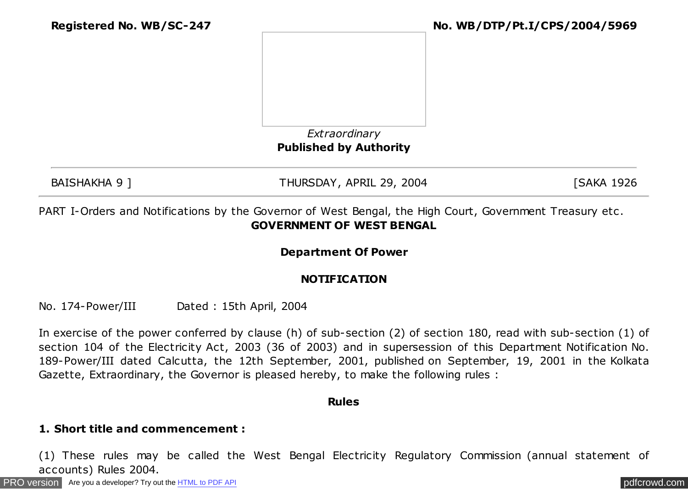

### *Extraordinary* **Published by Authority**

BAISHAKHA 9 ] THURSDAY, APRIL 29, 2004 [SAKA 1926

PART I-Orders and Notifications by the Governor of West Bengal, the High Court, Government Treasury etc . **GOVERNMENT OF WEST BENGAL**

### **Department Of Power**

### **NOTIFICATION**

No. 174-Power/III Dated : 15th April, 2004

In exercise of the power conferred by clause (h) of sub-section (2) of section 180, read with sub-section (1) of section 104 of the Electricity Act, 2003 (36 of 2003) and in supersession of this Department Notification No. 189-Power/III dated Calcutta, the 12th September, 2001, published on September, 19, 2001 in the Kolkata Gazette, Extraordinary, the Governor is pleased hereby, to make the following rules :

#### **Rules**

#### **1. Short title and commencement :**

(1) These rules may be called the West Bengal Electricity Regulatory Commission (annual statement of accounts) Rules 2004.

[PRO version](http://pdfcrowd.com/customize/) Are you a developer? Try out th[e HTML to PDF API](http://pdfcrowd.com/html-to-pdf-api/?ref=pdf) provided and the example of the HTML to PDF API posterior and the example of the example of the example of the example of the example of the example of the examp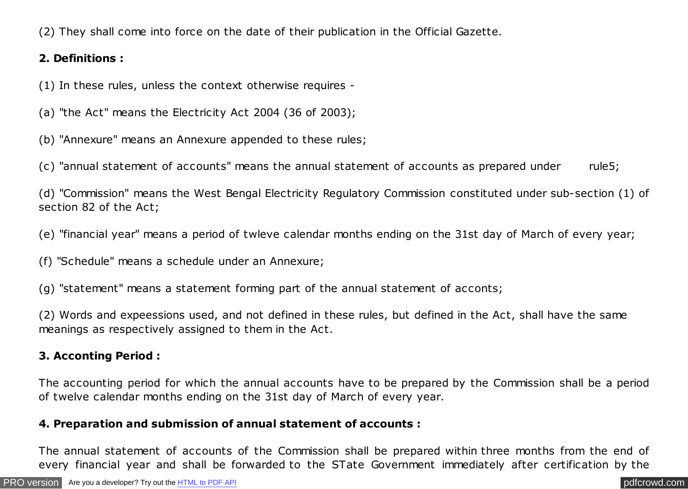(2) They shall come into force on the date of their publication in the Official Gazette.

### **2. Definitions :**

(1) In these rules, unless the context otherwise requires -

(a) "the Act" means the Electricity Act 2004 (36 of 2003);

(b) "Annexure" means an Annexure appended to these rules;

(c) "annual statement of accounts" means the annual statement of accounts as prepared under rule5;

(d) "Commission" means the West Bengal Electricity Regulatory Commission constituted under sub-section (1) of section 82 of the Act;

(e) "financial year" means a period of twleve calendar months ending on the 31st day of March of every year;

(f) "Schedule" means a schedule under an Annexure;

(g) "statement" means a statement forming part of the annual statement of acconts;

(2) Words and expeessions used, and not defined in these rules, but defined in the Act, shall have the same meanings as respectively assigned to them in the Act.

#### **3. Acconting Period :**

The accounting period for which the annual accounts have to be prepared by the Commission shall be a period of twelve calendar months ending on the 31st day of March of every year.

#### **4. Preparation and submission of annual statement of accounts :**

The annual statement of accounts of the Commission shall be prepared within three months from the end of every financial year and shall be forwarded to the STate Government immediately after certification by the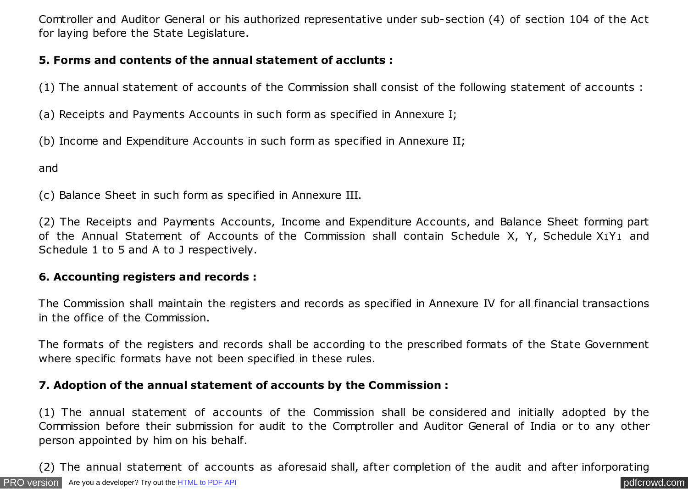Comtroller and Auditor General or his authorized representative under sub-section (4) of section 104 of the Act for laying before the State Legislature.

## **5. Forms and contents of the annual statement of acclunts :**

(1) The annual statement of accounts of the Commission shall consist of the following statement of accounts :

(a) Receipts and Payments Accounts in such form as specified in Annexure I;

(b) Income and Expenditure Accounts in such form as specified in Annexure II;

and

(c) Balance Sheet in such form as specified in Annexure III.

(2) The Receipts and Payments Accounts, Income and Expenditure Accounts, and Balance Sheet forming part of the Annual Statement of Accounts of the Commission shall contain Schedule X, Y, Schedule X1Y1 and Schedule 1 to 5 and A to J respectively.

#### **6. Accounting registers and records :**

The Commission shall maintain the registers and records as specified in Annexure IV for all financial transactions in the office of the Commission.

The formats of the registers and records shall be according to the prescribed formats of the State Government where specific formats have not been specified in these rules.

### **7. Adoption of the annual statement of accounts by the Commission :**

(1) The annual statement of accounts of the Commission shall be considered and initially adopted by the Commission before their submission for audit to the Comptroller and Auditor General of India or to any other person appointed by him on his behalf.

(2) The annual statement of accounts as aforesaid shall, after completion of the audit and after inforporating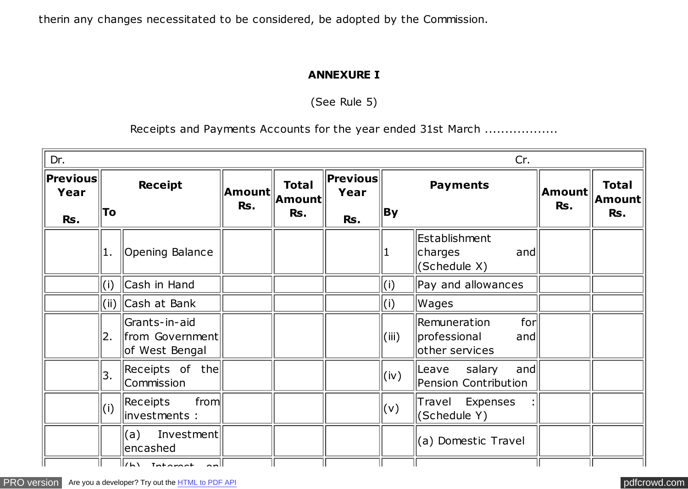therin any changes necessitated to be considered, be adopted by the Commission.

### **ANNEXURE I**

(See Rule 5)

Receipts and Payments Accounts for the year ended 31st March ..................

| Dr.                      |                     |                                                       |               |                                 |                          |                          | Cr.                                                          |               |                               |
|--------------------------|---------------------|-------------------------------------------------------|---------------|---------------------------------|--------------------------|--------------------------|--------------------------------------------------------------|---------------|-------------------------------|
| $ $ Previous $ $<br>Year | To                  | <b>Receipt</b>                                        | Amount<br>Rs. | <b>Total</b><br> Amount <br>Rs. | $ $ Previous $ $<br>Year | <b>By</b>                | <b>Payments</b>                                              | Amount<br>Rs. | <b>Total</b><br>Amount<br>Rs. |
| Rs.                      |                     |                                                       |               |                                 | Rs.                      |                          |                                                              |               |                               |
|                          | 1.                  | Opening Balance                                       |               |                                 |                          | 1                        | Establishment<br>charges<br> and <br>$ $ (Schedule X)        |               |                               |
|                          | Cash in Hand<br>(i) |                                                       |               |                                 |                          | (i)                      | Pay and allowances                                           |               |                               |
|                          |                     | (ii)   Cash at Bank                                   |               |                                 |                          | (i)                      | Wages                                                        |               |                               |
|                          | 2.                  | Grants-in-aid<br>  from Government <br>of West Bengal |               |                                 |                          | (iii)                    | for<br>Remuneration<br>professional<br>and<br>other services |               |                               |
|                          | 3.                  | Receipts of the<br>Commission                         |               |                                 |                          | (iv)                     | and <br>Leave salary<br>Pension Contribution                 |               |                               |
|                          | (i)                 | from<br>Receipts<br>investments :                     |               |                                 |                          | $\mathsf{V}(\mathsf{v})$ | Travel Expenses<br>$ $ (Schedule Y)                          |               |                               |
|                          |                     | Investment<br>(a)<br>encashed                         |               |                                 |                          |                          | (a) Domestic Travel                                          |               |                               |
|                          |                     | $\sqrt{N}$ Tatagash                                   |               |                                 |                          |                          |                                                              |               |                               |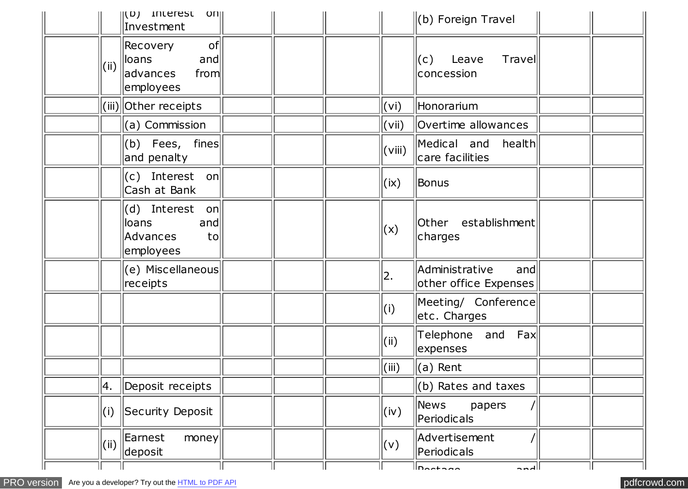|       | $  (D)$ interest<br> O[1] <br>Investment                         |                           | $(b)$ Foreign Travel                           |  |
|-------|------------------------------------------------------------------|---------------------------|------------------------------------------------|--|
| (iii) | of<br>Recovery<br>and<br>lloans<br>from<br>advances<br>employees |                           | Travel<br>(c)<br>Leave<br>concession           |  |
|       | (iii) Other receipts                                             | $\mathsf{(vi)}$           | Honorarium                                     |  |
|       | $\ $ (a) Commission                                              | $\mathsf{(vii)}$          | Overtime allowances                            |  |
|       | (b) Fees, fines<br>and penalty                                   | (viii)                    | Medical and<br>health<br>care facilities       |  |
|       | $(c)$ Interest on<br>Cash at Bank                                | $\mathsf{l}(\mathsf{ix})$ | Bonus                                          |  |
|       | (d) Interest on<br>loans<br> and <br>Advances<br>to<br>employees | (x)                       | Other establishment<br>charges                 |  |
|       | (e) Miscellaneous<br>receipts                                    | 2.                        | Administrative<br>and<br>other office Expenses |  |
|       |                                                                  | (i)                       | Meeting/ Conference<br>etc. Charges            |  |
|       |                                                                  | (i)                       | Telephone and<br>Fax<br>expenses               |  |
|       |                                                                  | (iii)                     | $\parallel$ (a) Rent                           |  |
| 4.    | Deposit receipts                                                 |                           | $(b)$ Rates and taxes                          |  |
| (i)   | Security Deposit                                                 | (iv)                      | News<br>papers<br>Periodicals                  |  |
|       | $\Vert$ (ii) $\Vert$ Earnest<br>money<br>deposit                 | (v)                       | Advertisement<br>Periodicals                   |  |
|       |                                                                  |                           | 11n <u>aataa</u> a<br>الممم                    |  |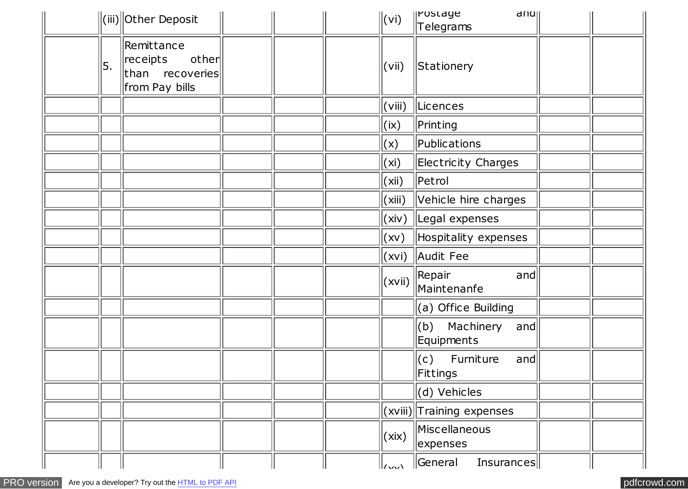|    | $\ $ (iii) $\ $ Other Deposit                                                    | $\ $ (vi)                                       | <b>Ilrostage</b><br>d  u                  |  |
|----|----------------------------------------------------------------------------------|-------------------------------------------------|-------------------------------------------|--|
|    |                                                                                  |                                                 | Telegrams                                 |  |
| 5. | Remittance<br>other<br>$\parallel$ receipts<br>than recoveries<br>from Pay bills | (vii)                                           | Stationery                                |  |
|    |                                                                                  | (viii)                                          | Licences                                  |  |
|    |                                                                                  | $\vert$ (ix)                                    | Printing                                  |  |
|    |                                                                                  | (x)                                             | Publications                              |  |
|    |                                                                                  | (xi)                                            | <b>Electricity Charges</b>                |  |
|    |                                                                                  | (xii)                                           | Petrol                                    |  |
|    |                                                                                  | (xiii)                                          | Vehicle hire charges                      |  |
|    |                                                                                  | (xiv)                                           | Legal expenses                            |  |
|    |                                                                                  | (xv)                                            | Hospitality expenses                      |  |
|    |                                                                                  |                                                 | (xvi) Audit Fee                           |  |
|    |                                                                                  | (xvii)                                          | Repair<br>and<br>Maintenanfe              |  |
|    |                                                                                  |                                                 | (a) Office Building                       |  |
|    |                                                                                  |                                                 | (b) Machinery<br> and <br>Equipments      |  |
|    |                                                                                  |                                                 | Furniture<br>(c)<br>and<br>Fittings       |  |
|    |                                                                                  |                                                 | (d) Vehicles                              |  |
|    |                                                                                  |                                                 | $\vert$ (xviii) $\vert$ Training expenses |  |
|    |                                                                                  | (xix)                                           | Miscellaneous<br>expenses                 |  |
|    |                                                                                  | $\ _{\ell_{\mathcal{M}}\setminus\mathcal{N}}\ $ | $\parallel$ General<br>Insurances         |  |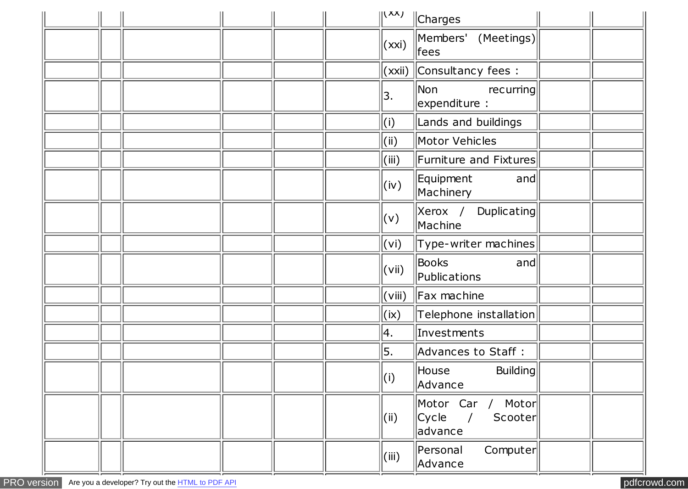|  |  |  | (XX)                     | <i>Charges</i>                                             |  |
|--|--|--|--------------------------|------------------------------------------------------------|--|
|  |  |  | (xxi)                    | Members' (Meetings)<br>$\parallel$ fees                    |  |
|  |  |  |                          | $(xxi)$ Consultancy fees :                                 |  |
|  |  |  | 3.                       | Non<br>recurring<br>expenditure :                          |  |
|  |  |  | (i)                      | Lands and buildings                                        |  |
|  |  |  | (iii)                    | Motor Vehicles                                             |  |
|  |  |  | (iii)                    | $\parallel$ Furniture and Fixtures $\parallel$             |  |
|  |  |  | (iv)                     | Equipment<br> and <br>Machinery                            |  |
|  |  |  | (v)                      | $ Xerox \t/$<br>Duplicating<br>Machine                     |  |
|  |  |  | $(\mathsf{v}\mathsf{i})$ | $\left\vert \right\vert$ Type-writer machines $\left\vert$ |  |
|  |  |  | (vii)                    | Books<br> and <br>Publications                             |  |
|  |  |  | $\mathsf{(viii)}$        | $\parallel$ Fax machine                                    |  |
|  |  |  | (ix)                     | Telephone installation                                     |  |
|  |  |  | 4.                       | Investments                                                |  |
|  |  |  | 5.                       | Advances to Staff :                                        |  |
|  |  |  | (i)                      | $\parallel$ House<br><b>Building</b><br>Advance            |  |
|  |  |  | (i)                      | Motor Car / Motor<br>$Cycle$ /<br>Scooter<br>advance       |  |
|  |  |  | (iii)                    | Personal<br>Computer<br>Advance                            |  |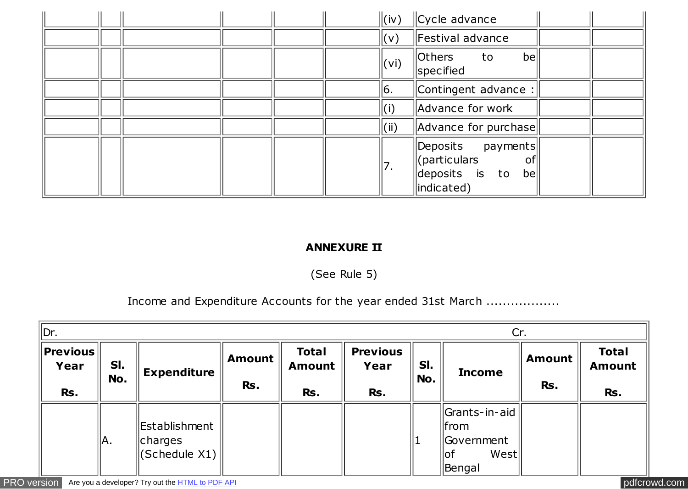|  | $\Vert$ (iv)     | Cycle advance                                                                  |  |
|--|------------------|--------------------------------------------------------------------------------|--|
|  | $\  (v) \ $      | Festival advance                                                               |  |
|  | $\ $ (vi)        | Others<br>be<br>to<br>specified                                                |  |
|  | 16.              | Contingent advance :                                                           |  |
|  | $\parallel$ (i)  | Advance for work                                                               |  |
|  | $\parallel$ (ii) | Advance for purchase                                                           |  |
|  | 17.              | Deposits payments<br>(particulars<br> o <br>deposits is to<br>be<br>indicated) |  |

### **ANNEXURE II**

(See Rule 5)

Income and Expenditure Accounts for the year ended 31st March ..................

| ∥Dr.                            |            |                                                |                      |                                      | Cr.                            |                      |                                                                   |  |  |  |
|---------------------------------|------------|------------------------------------------------|----------------------|--------------------------------------|--------------------------------|----------------------|-------------------------------------------------------------------|--|--|--|
| $ $ Previous $ $<br>Year<br>Rs. | SI.<br>No. | <b>Expenditure</b>                             | <b>Amount</b><br>Rs. | <b>Total</b><br><b>Amount</b><br>Rs. | <b>Previous</b><br>Year<br>Rs. | <b>Amount</b><br>Rs. | <b>Total</b><br><b>Amount</b><br>Rs.                              |  |  |  |
|                                 | IA.        | Establishment<br>$\ $ charges<br>(Schedule X1) |                      |                                      |                                |                      | Grants-in-aid<br>  from<br>  Government<br>West<br>∣lof<br>Bengal |  |  |  |

[PRO version](http://pdfcrowd.com/customize/) Are you a developer? Try out th[e HTML to PDF API](http://pdfcrowd.com/html-to-pdf-api/?ref=pdf) [pdfcrowd.com](http://pdfcrowd.com)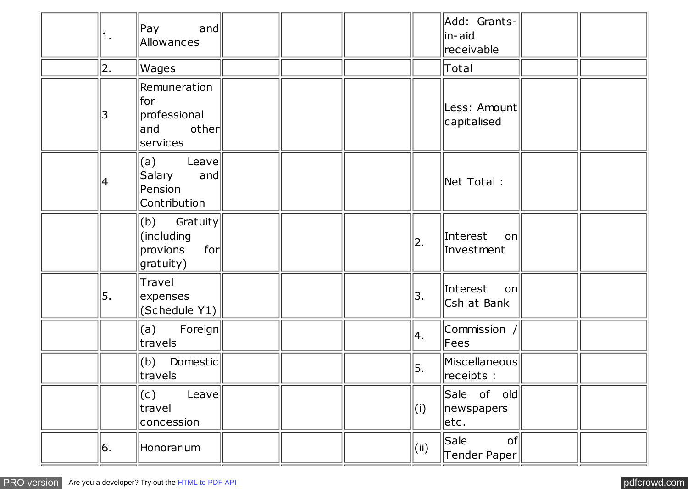| 1. | Pay<br> and <br>Allowances                                        |  |     | Add: Grants-<br>in-aid<br>receivable |  |
|----|-------------------------------------------------------------------|--|-----|--------------------------------------|--|
| 2. | Wages                                                             |  |     | Total                                |  |
| 3  | Remuneration<br>lfor<br>professional<br>other<br> and<br>services |  |     | Less: Amount<br>capitalised          |  |
| 4  | (a)<br>Leave<br>Salary<br>and<br>Pension<br>Contribution          |  |     | Net Total :                          |  |
|    | $(b)$ Gratuity<br>(including)<br>for<br>provions<br>gratuity)     |  | 2.  | Interest<br>on<br>Investment         |  |
| 5. | Travel<br>expenses<br>$ $ (Schedule Y1) $ $                       |  | 3.  | Interest on<br>Csh at Bank           |  |
|    | $(a)$ Foreign<br>travels                                          |  | 4.  | Commission /<br>Fees                 |  |
|    | $(b)$ Domestic<br>$\ $ travels                                    |  | 5.  | Miscellaneous<br>receipts :          |  |
|    | (C)<br>Leave<br>travel<br>concession                              |  | (i) | Sale of old<br>newspapers<br>etc.    |  |
| 6. | Honorarium                                                        |  | (i) | Sale<br> o f <br>Tender Paper        |  |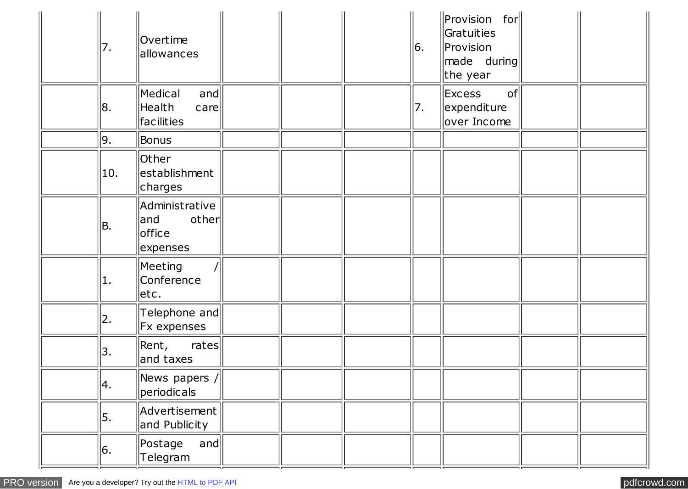| 7.  | Overtime<br>allowances                                                   |  | 6. | $\ $ Provision for $\ $<br>Gratuities<br>$ $ Provision<br>made during<br>the year |  |
|-----|--------------------------------------------------------------------------|--|----|-----------------------------------------------------------------------------------|--|
| 8.  | Medical<br>and<br>Health<br>$\sqrt{c}$<br>facilities                     |  | 7. | Excess<br>of<br>expenditure<br>over Income                                        |  |
| 9.  | Bonus                                                                    |  |    |                                                                                   |  |
| 10. | Other<br>establishment<br>charges                                        |  |    |                                                                                   |  |
| B.  | Administrative<br>other<br> and<br>office<br>expenses                    |  |    |                                                                                   |  |
| 1.  | Meeting<br>Conference<br>etc.                                            |  |    |                                                                                   |  |
| 2.  | Telephone and<br><b>Fx expenses</b>                                      |  |    |                                                                                   |  |
| 3.  | $ $ Rent,<br>rates<br>and taxes                                          |  |    |                                                                                   |  |
| 4.  | $\left\Vert \mathsf{News\ papers}\ \mathsf{/}\right\Vert$<br>periodicals |  |    |                                                                                   |  |
| 5.  | $ $ Advertisement $ $<br>and Publicity                                   |  |    |                                                                                   |  |
| 6.  | Postage<br>and<br>Telegram                                               |  |    |                                                                                   |  |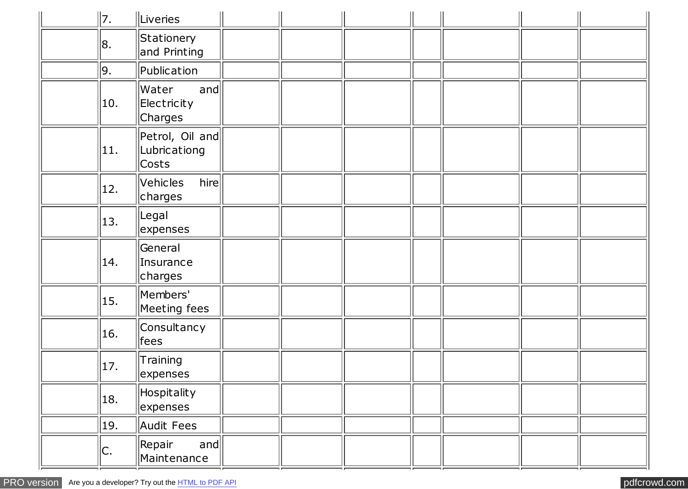| 7. |     | Liveries                                 |  |  |  |  |
|----|-----|------------------------------------------|--|--|--|--|
| 8. |     | Stationery<br>and Printing               |  |  |  |  |
| 9. |     | Publication                              |  |  |  |  |
|    | 10. | Water<br>and<br>Electricity<br>Charges   |  |  |  |  |
|    | 11. | Petrol, Oil and<br>Lubricationg<br>Costs |  |  |  |  |
|    | 12. | hire<br>Vehicles<br>charges              |  |  |  |  |
|    | 13. | Legal<br>expenses                        |  |  |  |  |
|    | 14. | General<br>Insurance<br>charges          |  |  |  |  |
|    | 15. | Members'<br>Meeting fees                 |  |  |  |  |
|    | 16. | Consultancy<br>$\parallel$ fees          |  |  |  |  |
|    | 17. | Training<br>expenses                     |  |  |  |  |
|    | 18. | Hospitality<br>expenses                  |  |  |  |  |
|    | 19. | Audit Fees                               |  |  |  |  |
| C. |     | Repair<br>and<br>Maintenance             |  |  |  |  |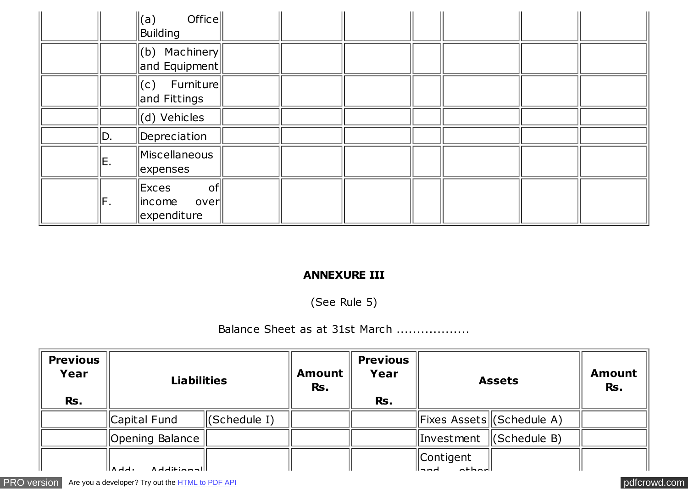|     | Office<br>$\parallel$ (a)<br>Building            |  |  |  |  |
|-----|--------------------------------------------------|--|--|--|--|
|     | $\ $ (b) Machinery<br>and Equipment              |  |  |  |  |
|     | $ c)$ Furniture<br>and Fittings                  |  |  |  |  |
|     | $(d)$ Vehicles                                   |  |  |  |  |
| D.  | Depreciation                                     |  |  |  |  |
| IE. | Miscellaneous<br>expenses                        |  |  |  |  |
| lF. | Exces<br> o f <br>lincome<br>over<br>expenditure |  |  |  |  |

#### **ANNEXURE III**

(See Rule 5)

## Balance Sheet as at 31st March ..................

| <b>Previous</b><br>Year<br>Rs. | <b>Liabilities</b>           |                          | <b>Amount</b><br>Rs. | <b>Previous</b><br>Year<br>Rs. |                       | <b>Assets</b>              | <b>Amount</b><br>Rs. |
|--------------------------------|------------------------------|--------------------------|----------------------|--------------------------------|-----------------------|----------------------------|----------------------|
|                                | Capital Fund                 | $\parallel$ (Schedule I) |                      |                                |                       | Fixes Assets  (Schedule A) |                      |
|                                | Opening Balance              |                          |                      |                                |                       | Investment   (Schedule B)  |                      |
|                                | المصمئط: امام ۸<br>. ام ام ۱ |                          |                      |                                | $\parallel$ Contigent |                            |                      |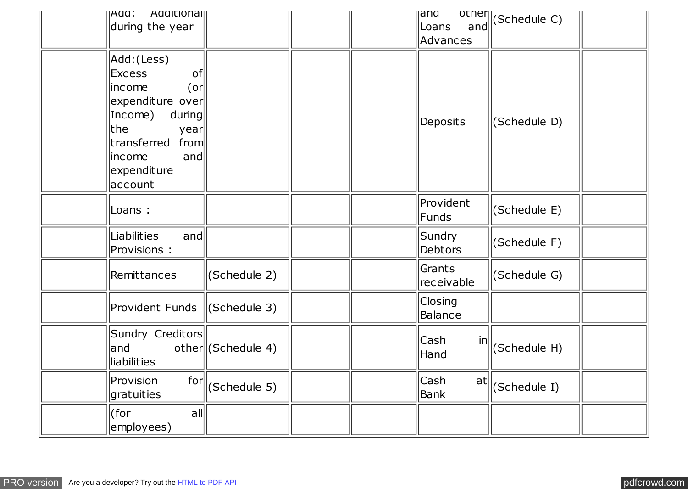| <b>AUUILIUITAI</b><br> AUU <br>during the year                                                                                                                                        |                      |  | <b>Idiu</b><br>Loans<br>and<br>Advances | other (Schedule C) |  |
|---------------------------------------------------------------------------------------------------------------------------------------------------------------------------------------|----------------------|--|-----------------------------------------|--------------------|--|
| Add:(Less)<br>of<br><b>Excess</b><br>$($ or $ $<br>income<br>expenditure over<br>Income)<br>during<br>lthe.<br>year<br>from<br>transferred<br>income<br>and<br>expenditure<br>account |                      |  | Deposits                                | (Schedule D)       |  |
| Loans :                                                                                                                                                                               |                      |  | Provident<br>Funds                      | (Schedule E)       |  |
| Liabilities<br>and<br>Provisions:                                                                                                                                                     |                      |  | Sundry<br>Debtors                       | (Schedule F)       |  |
| Remittances                                                                                                                                                                           | (Schedule 2)         |  | Grants<br>receivable                    | (Schedule G)       |  |
| Provident Funds                                                                                                                                                                       | (Schedule 3)         |  | Closing<br>Balance                      |                    |  |
| Sundry Creditors<br>and<br>liabilities                                                                                                                                                | $other$ (Schedule 4) |  | Cash<br>in<br>Hand                      | (Schedule H)       |  |
| for<br>Provision<br>gratuities                                                                                                                                                        | (Schedule 5)         |  | Cash<br>at<br><b>Bank</b>               | (Schedule I)       |  |
| (for<br>all<br>employees)                                                                                                                                                             |                      |  |                                         |                    |  |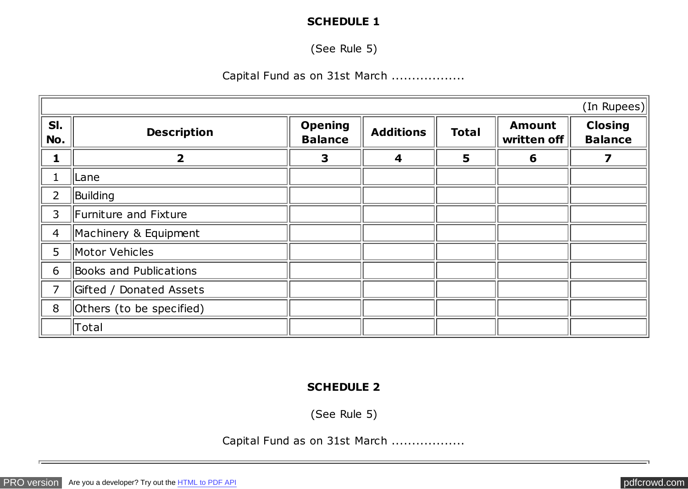### **SCHEDULE 1**

(See Rule 5)

### Capital Fund as on 31st March ..................

|                |                          |                                  |                         |              |                              | (In Rupees)                      |
|----------------|--------------------------|----------------------------------|-------------------------|--------------|------------------------------|----------------------------------|
| SI.<br>No.     | <b>Description</b>       | <b>Opening</b><br><b>Balance</b> | <b>Additions</b>        | <b>Total</b> | <b>Amount</b><br>written off | <b>Closing</b><br><b>Balance</b> |
| 1              | $\overline{\mathbf{2}}$  | $\overline{\mathbf{3}}$          | $\overline{\mathbf{4}}$ | 5            | 6                            | 7                                |
|                | Lane                     |                                  |                         |              |                              |                                  |
| $\overline{2}$ | Building                 |                                  |                         |              |                              |                                  |
| 3              | Furniture and Fixture    |                                  |                         |              |                              |                                  |
| $\overline{4}$ | Machinery & Equipment    |                                  |                         |              |                              |                                  |
| 5              | Motor Vehicles           |                                  |                         |              |                              |                                  |
| 6              | Books and Publications   |                                  |                         |              |                              |                                  |
| 7              | Gifted / Donated Assets  |                                  |                         |              |                              |                                  |
| 8              | Others (to be specified) |                                  |                         |              |                              |                                  |
|                | Total                    |                                  |                         |              |                              |                                  |

#### **SCHEDULE 2**

(See Rule 5)

Capital Fund as on 31st March ..................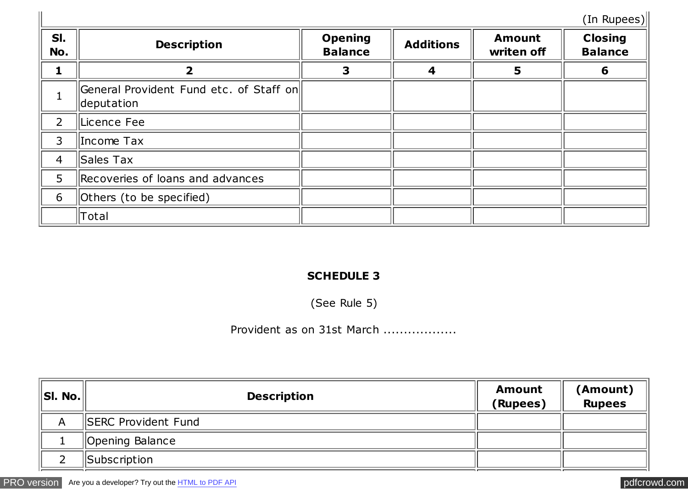(In Rupees)

|                |                                                       |                                  |                  |                             | (In Rupees)                      |
|----------------|-------------------------------------------------------|----------------------------------|------------------|-----------------------------|----------------------------------|
| SI.<br>No.     | <b>Description</b>                                    | <b>Opening</b><br><b>Balance</b> | <b>Additions</b> | <b>Amount</b><br>writen off | <b>Closing</b><br><b>Balance</b> |
|                | $\mathbf{2}$                                          | 3                                | 4                | 5                           | 6                                |
|                | General Provident Fund etc. of Staff on<br>deputation |                                  |                  |                             |                                  |
| $\overline{2}$ | Licence Fee                                           |                                  |                  |                             |                                  |
| 3              | Income Tax                                            |                                  |                  |                             |                                  |
| $\overline{4}$ | Sales Tax                                             |                                  |                  |                             |                                  |
| 5              | Recoveries of loans and advances                      |                                  |                  |                             |                                  |
| 6              | Others (to be specified)                              |                                  |                  |                             |                                  |
|                | Total                                                 |                                  |                  |                             |                                  |

# **SCHEDULE 3**

(See Rule 5)

## Provident as on 31st March ..................

| SI. No. | <b>Description</b>          | <b>Amount</b><br>(Rupees) | (Amount)<br><b>Rupees</b> |
|---------|-----------------------------|---------------------------|---------------------------|
| A       | <b>ISERC Provident Fund</b> |                           |                           |
|         | Opening Balance             |                           |                           |
|         | <b>Subscription</b>         |                           |                           |

[PRO version](http://pdfcrowd.com/customize/) Are you a developer? Try out the **HTML to PDF API [pdfcrowd.com](http://pdfcrowd.com)** pdfcrowd.com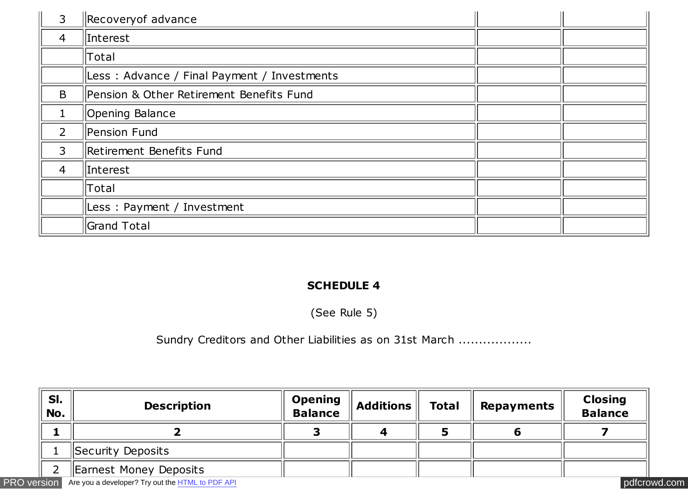| 3              | Recovery of advance                         |  |
|----------------|---------------------------------------------|--|
| $\overline{4}$ | Interest                                    |  |
|                | Total                                       |  |
|                | Less: Advance / Final Payment / Investments |  |
| B              | Pension & Other Retirement Benefits Fund    |  |
| $\mathbf 1$    | Opening Balance                             |  |
| $\overline{2}$ | Pension Fund                                |  |
| 3              | Retirement Benefits Fund                    |  |
| $\overline{4}$ | Interest                                    |  |
|                | Total                                       |  |
|                | Less: Payment / Investment                  |  |
|                | <b>Grand Total</b>                          |  |

## **SCHEDULE 4**

(See Rule 5)

Sundry Creditors and Other Liabilities as on 31st March ...................

| SI.<br>No. | <b>Description</b>                                                  | <b>Opening</b><br><b>Balance</b> | Additions | <b>Total</b> | Repayments | <b>Closing</b><br><b>Balance</b> |  |
|------------|---------------------------------------------------------------------|----------------------------------|-----------|--------------|------------|----------------------------------|--|
|            |                                                                     |                                  |           |              |            |                                  |  |
|            | Security Deposits                                                   |                                  |           |              |            |                                  |  |
|            | Earnest Money Deposits                                              |                                  |           |              |            |                                  |  |
|            | <b>PRO version</b> Are you a developer? Try out the HTML to PDF API |                                  |           |              |            | pdfcrowd.com                     |  |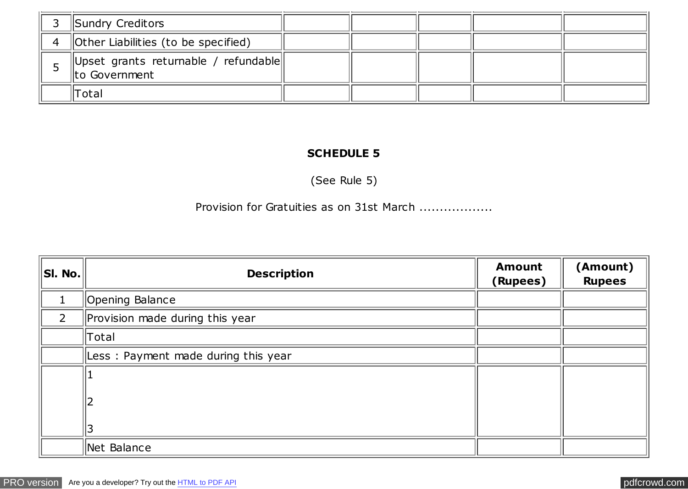|                    | Sundry Creditors                                         |  |  |  |
|--------------------|----------------------------------------------------------|--|--|--|
| $\mathbf{\Lambda}$ | <b>Other Liabilities (to be specified)</b>               |  |  |  |
|                    | Upset grants returnable / refundable  <br>Ito Government |  |  |  |
|                    | 'Total                                                   |  |  |  |

### **SCHEDULE 5**

(See Rule 5)

Provision for Gratuities as on 31st March ..................

| S I. No.       | <b>Description</b>                  | <b>Amount</b><br>(Rupees) | (Amount)<br><b>Rupees</b> |
|----------------|-------------------------------------|---------------------------|---------------------------|
|                | Opening Balance                     |                           |                           |
| $\overline{2}$ | Provision made during this year     |                           |                           |
|                | Total                               |                           |                           |
|                | Less: Payment made during this year |                           |                           |
|                |                                     |                           |                           |
|                |                                     |                           |                           |
|                | 3                                   |                           |                           |
|                | Net Balance                         |                           |                           |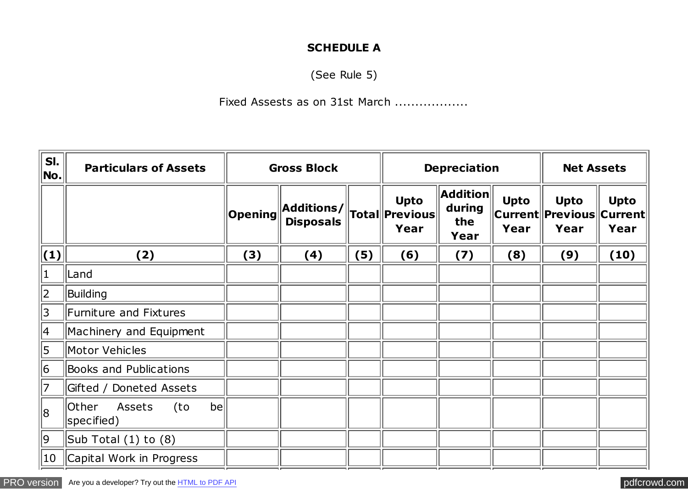### **SCHEDULE A**

(See Rule 5)

### Fixed Assests as on 31st March ..................

| SI.<br>No.      | <b>Particulars of Assets</b>                      | <b>Gross Block</b> |                                        |     |                                                      | <b>Depreciation</b>                      | <b>Net Assets</b>   |                                                     |                     |
|-----------------|---------------------------------------------------|--------------------|----------------------------------------|-----|------------------------------------------------------|------------------------------------------|---------------------|-----------------------------------------------------|---------------------|
|                 |                                                   | <b>Opening</b>     | $ $ Additions/ $ $<br><b>Disposals</b> |     | <b>Upto</b><br>$\ $ Total $\ $ Previous $\ $<br>Year | <b>Addition</b><br>during<br>the<br>Year | <b>Upto</b><br>Year | <b>Upto</b><br> Current  Previous  Current <br>Year | <b>Upto</b><br>Year |
| $\vert(1)\vert$ | (2)                                               | (3)                | (4)                                    | (5) | (6)                                                  | (7)                                      | (8)                 | (9)                                                 | (10)                |
| $ 1\rangle$     | Land                                              |                    |                                        |     |                                                      |                                          |                     |                                                     |                     |
| 2               | Building                                          |                    |                                        |     |                                                      |                                          |                     |                                                     |                     |
| 3               | Furniture and Fixtures                            |                    |                                        |     |                                                      |                                          |                     |                                                     |                     |
| 4               | Machinery and Equipment                           |                    |                                        |     |                                                      |                                          |                     |                                                     |                     |
| 5               | Motor Vehicles                                    |                    |                                        |     |                                                      |                                          |                     |                                                     |                     |
| 6               | <b>Books and Publications</b>                     |                    |                                        |     |                                                      |                                          |                     |                                                     |                     |
| 7               | Gifted / Doneted Assets                           |                    |                                        |     |                                                      |                                          |                     |                                                     |                     |
| 8               | Assets<br>be<br><b>Other</b><br>(to<br>specified) |                    |                                        |     |                                                      |                                          |                     |                                                     |                     |
| 9               | $\vert$ Sub Total (1) to (8)                      |                    |                                        |     |                                                      |                                          |                     |                                                     |                     |
| $ 10\rangle$    | Capital Work in Progress                          |                    |                                        |     |                                                      |                                          |                     |                                                     |                     |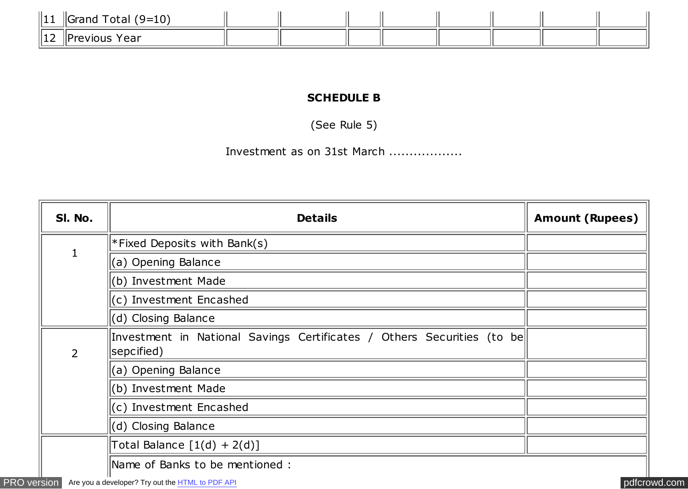| 11 H H<br>.   | $\top$ otal (9=10,<br><b>I</b> Grand   |  |  |  |  |
|---------------|----------------------------------------|--|--|--|--|
| $-14o$<br>--- | <i><u><b>IPrevious</b></u></i><br>Year |  |  |  |  |

### **SCHEDULE B**

(See Rule 5)

Investment as on 31st March ..................

| SI. No.        | <b>Details</b>                                                                       | <b>Amount (Rupees)</b> |
|----------------|--------------------------------------------------------------------------------------|------------------------|
|                | *Fixed Deposits with Bank(s)                                                         |                        |
| 1              | (a) Opening Balance                                                                  |                        |
|                | (b) Investment Made                                                                  |                        |
|                | $(c)$ Investment Encashed                                                            |                        |
|                | (d) Closing Balance                                                                  |                        |
| $\overline{2}$ | Investment in National Savings Certificates / Others Securities (to be<br>sepcified) |                        |
|                | (a) Opening Balance                                                                  |                        |
|                | (b) Investment Made                                                                  |                        |
|                | $(c)$ Investment Encashed                                                            |                        |
|                | $(d)$ Closing Balance                                                                |                        |
|                | Total Balance $[1(d) + 2(d)]$                                                        |                        |
|                | Name of Banks to be mentioned :                                                      |                        |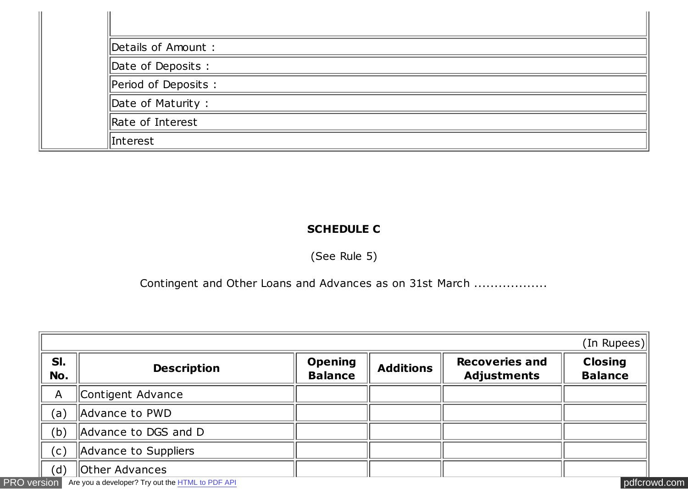| Details of Amount :              |  |
|----------------------------------|--|
| Date of Deposits:                |  |
| $\parallel$ Period of Deposits : |  |
| $\parallel$ Date of Maturity :   |  |
| Rate of Interest                 |  |
| Interest                         |  |

## **SCHEDULE C**

(See Rule 5)

Contingent and Other Loans and Advances as on 31st March ...................

| SI.<br>No.   | <b>Description</b>    | <b>Opening</b><br><b>Balance</b> | <b>Additions</b> | <b>Recoveries and</b><br><b>Adjustments</b> | <b>Closing</b><br><b>Balance</b> |
|--------------|-----------------------|----------------------------------|------------------|---------------------------------------------|----------------------------------|
| $\mathsf{A}$ | Contigent Advance     |                                  |                  |                                             |                                  |
| (a)          | Advance to PWD        |                                  |                  |                                             |                                  |
| (b)          | Advance to DGS and D  |                                  |                  |                                             |                                  |
| (c)          | Advance to Suppliers  |                                  |                  |                                             |                                  |
| (d)          | <b>Other Advances</b> |                                  |                  |                                             |                                  |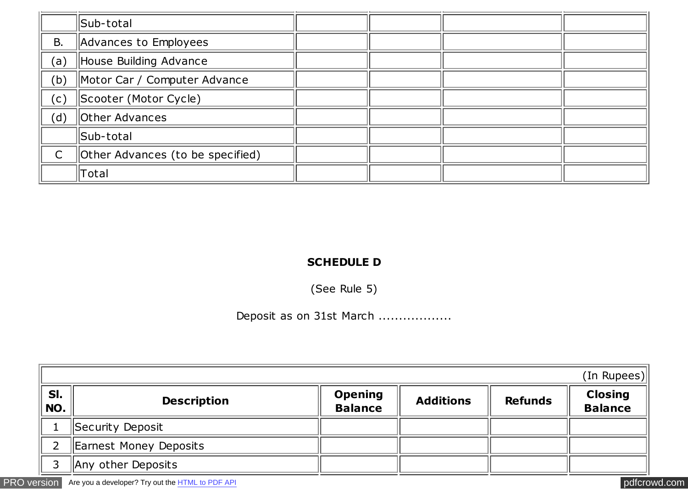|                | Sub-total                        |  |  |
|----------------|----------------------------------|--|--|
| <b>B.</b>      | Advances to Employees            |  |  |
| (a)            | House Building Advance           |  |  |
| (b)            | Motor Car / Computer Advance     |  |  |
| $(\mathsf{c})$ | Scooter (Motor Cycle)            |  |  |
| (d)            | Other Advances                   |  |  |
|                | Sub-total                        |  |  |
|                | Other Advances (to be specified) |  |  |
|                | Total                            |  |  |

### **SCHEDULE D**

(See Rule 5)

# Deposit as on 31st March ..................

|            |                        |                                  |                  |                | (In Rupees)                      |
|------------|------------------------|----------------------------------|------------------|----------------|----------------------------------|
| SI.<br>NO. | <b>Description</b>     | <b>Opening</b><br><b>Balance</b> | <b>Additions</b> | <b>Refunds</b> | <b>Closing</b><br><b>Balance</b> |
|            | Security Deposit       |                                  |                  |                |                                  |
|            | Earnest Money Deposits |                                  |                  |                |                                  |
|            | Any other Deposits     |                                  |                  |                |                                  |

[PRO version](http://pdfcrowd.com/customize/) Are you a developer? Try out th[e HTML to PDF API](http://pdfcrowd.com/html-to-pdf-api/?ref=pdf) [pdfcrowd.com](http://pdfcrowd.com)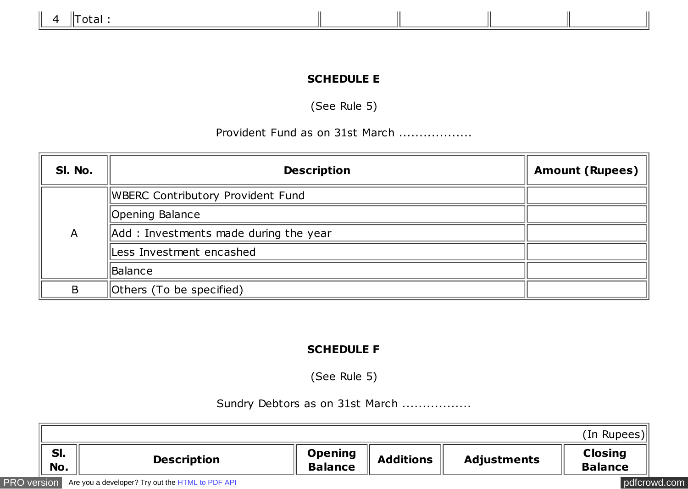## **SCHEDULE E**

(See Rule 5)

### Provident Fund as on 31st March ..................

| SI. No. | <b>Description</b>                    | <b>Amount (Rupees)</b> |
|---------|---------------------------------------|------------------------|
|         | WBERC Contributory Provident Fund     |                        |
|         | Opening Balance                       |                        |
| A       | Add: Investments made during the year |                        |
|         | Less Investment encashed              |                        |
|         | Balance                               |                        |
| B       | Others (To be specified)              |                        |

### **SCHEDULE F**

(See Rule 5)

### Sundry Debtors as on 31st March .................

|                    |                                                  |                                  |                  |                    | (In Rupees)                      |
|--------------------|--------------------------------------------------|----------------------------------|------------------|--------------------|----------------------------------|
| SI.<br>No.         | <b>Description</b>                               | <b>Opening</b><br><b>Balance</b> | <b>Additions</b> | <b>Adjustments</b> | <b>Closing</b><br><b>Balance</b> |
| <b>PRO</b> version | Are you a developer? Try out the HTML to PDF API |                                  |                  |                    | pdfcrowd.com                     |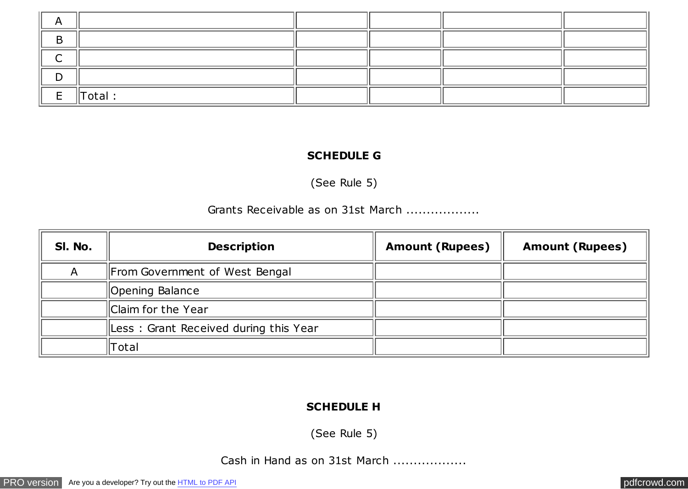| E<br>╌ | $\parallel$ Total : |  |  |
|--------|---------------------|--|--|

#### **SCHEDULE G**

(See Rule 5)

### Grants Receivable as on 31st March ..................

| SI. No. | <b>Description</b>                    | <b>Amount (Rupees)</b> | <b>Amount (Rupees)</b> |
|---------|---------------------------------------|------------------------|------------------------|
|         | From Government of West Bengal        |                        |                        |
|         | Opening Balance                       |                        |                        |
|         | Claim for the Year                    |                        |                        |
|         | Less: Grant Received during this Year |                        |                        |
|         | Гotal                                 |                        |                        |

#### **SCHEDULE H**

(See Rule 5)

Cash in Hand as on 31st March ..................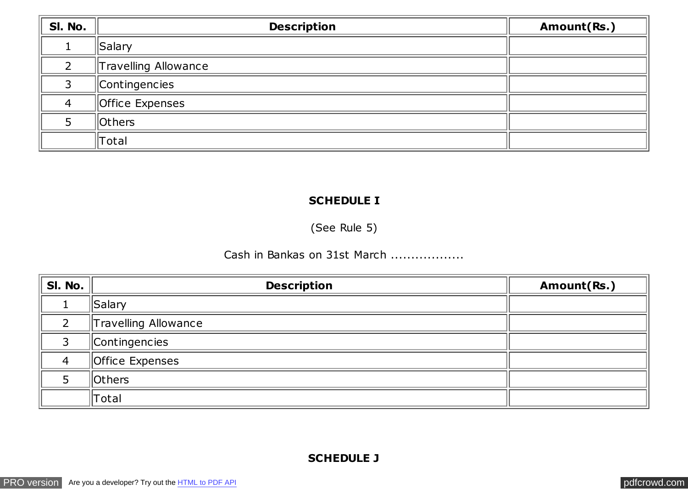| SI. No. | <b>Description</b>          | Amount(Rs.) |
|---------|-----------------------------|-------------|
|         | Salary                      |             |
|         | <b>Travelling Allowance</b> |             |
| っ       | Contingencies               |             |
| 4       | Office Expenses             |             |
|         | Others                      |             |
|         | Total                       |             |

### **SCHEDULE I**

(See Rule 5)

## Cash in Bankas on 31st March ..................

| SI. No. | <b>Description</b>   | Amount(Rs.) |
|---------|----------------------|-------------|
|         | Salary               |             |
| ∍       | Travelling Allowance |             |
|         | Contingencies        |             |
| 4       | Office Expenses      |             |
|         | <b>Others</b>        |             |
|         | $\ $ Total           |             |

### **SCHEDULE J**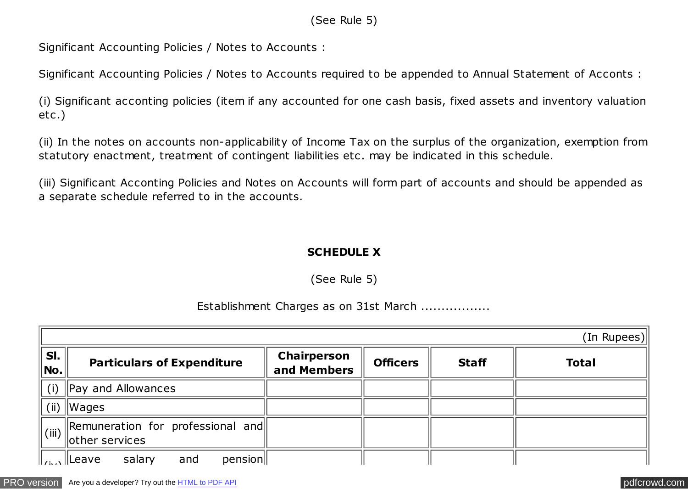### (See Rule 5)

Significant Accounting Policies / Notes to Accounts :

Significant Accounting Policies / Notes to Accounts required to be appended to Annual Statement of Acconts :

(i) Significant acconting policies (item if any accounted for one cash basis, fixed assets and inventory valuation etc .)

(ii) In the notes on accounts non-applicability of Income Tax on the surplus of the organization, exemption from statutory enactment, treatment of contingent liabilities etc. may be indicated in this schedule.

(iii) Significant Acconting Policies and Notes on Accounts will form part of accounts and should be appended as a separate schedule referred to in the accounts.

## **SCHEDULE X**

(See Rule 5)

### Establishment Charges as on 31st March .................

|                     |                                                                                                                           |                                   |                 |              | (In Rupees)  |
|---------------------|---------------------------------------------------------------------------------------------------------------------------|-----------------------------------|-----------------|--------------|--------------|
| SI.<br>$ $ No . $ $ | <b>Particulars of Expenditure</b>                                                                                         | <b>Chairperson</b><br>and Members | <b>Officers</b> | <b>Staff</b> | <b>Total</b> |
| (i)                 | $\parallel$ Pay and Allowances                                                                                            |                                   |                 |              |              |
|                     | (ii) $\ W \text{ages}\ $                                                                                                  |                                   |                 |              |              |
|                     | $\ $ Remuneration for professional and<br>$\frac{1}{\sqrt{2}}$ (iii) $\left\  \frac{1}{\sqrt{2}} \right\ $ other services |                                   |                 |              |              |
|                     | and<br>salary<br>pension                                                                                                  |                                   |                 |              |              |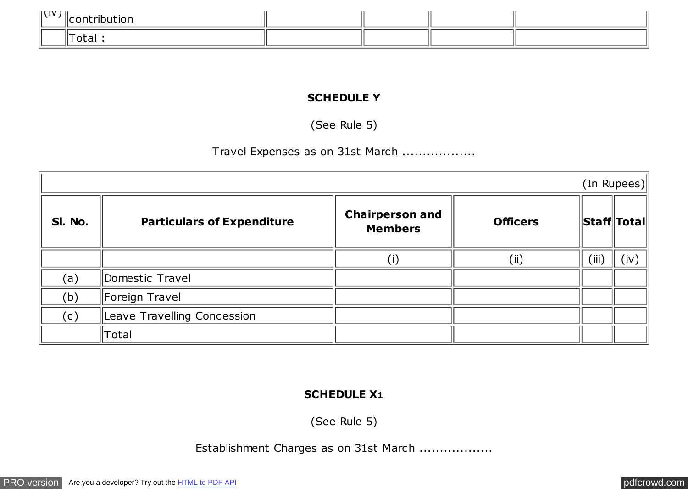| .<br>1 I V |  |  |  |
|------------|--|--|--|
|            |  |  |  |

### **SCHEDULE Y**

(See Rule 5)

# Travel Expenses as on 31st March ..................

|         |                                   |                                          |                 |                             | (In Rupees) |
|---------|-----------------------------------|------------------------------------------|-----------------|-----------------------------|-------------|
| SI. No. | <b>Particulars of Expenditure</b> | <b>Chairperson and</b><br><b>Members</b> | <b>Officers</b> | <b>Staff</b> Total          |             |
|         |                                   |                                          | (i)             | $^{\prime}$ iii $^{\prime}$ | (iv)        |
| (a)     | Domestic Travel                   |                                          |                 |                             |             |
| (b)     | Foreign Travel                    |                                          |                 |                             |             |
| (c)     | Leave Travelling Concession       |                                          |                 |                             |             |
|         | Total                             |                                          |                 |                             |             |

### **SCHEDULE X1**

(See Rule 5)

Establishment Charges as on 31st March ..................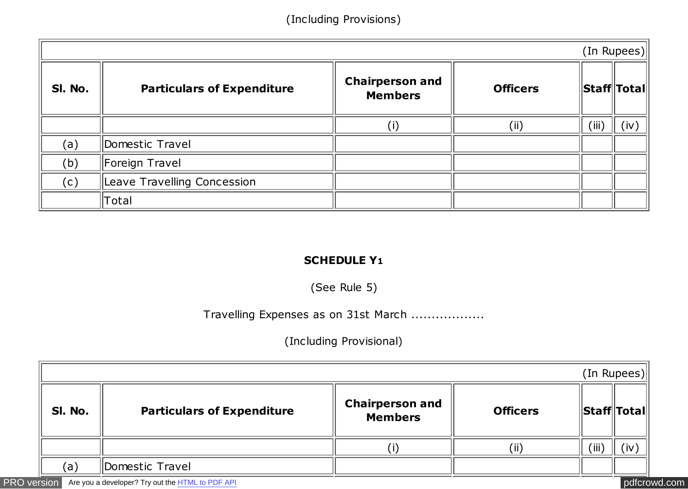## (Including Provisions)

|         |                                   |                                          |                 |       | (In Rupees)                |
|---------|-----------------------------------|------------------------------------------|-----------------|-------|----------------------------|
| SI. No. | <b>Particulars of Expenditure</b> | <b>Chairperson and</b><br><b>Members</b> | <b>Officers</b> |       | $\ $ Staff $\ $ Total $\ $ |
|         |                                   | $(\sf{i})$                               | (i)             | (iii) | (iv)                       |
| (a)     | Domestic Travel                   |                                          |                 |       |                            |
| (b)     | Foreign Travel                    |                                          |                 |       |                            |
| (c)     | Leave Travelling Concession       |                                          |                 |       |                            |
|         | Total                             |                                          |                 |       |                            |

#### **SCHEDULE Y1**

(See Rule 5)

## Travelling Expenses as on 31st March ..................

## (Including Provisional)

| (In Rupees) |                                   |                                          |                 |                             |     |  |  |  |
|-------------|-----------------------------------|------------------------------------------|-----------------|-----------------------------|-----|--|--|--|
| SI. No.     | <b>Particulars of Expenditure</b> | <b>Chairperson and</b><br><b>Members</b> | <b>Officers</b> | $\ $ Staff $\ $ Total $\ $  |     |  |  |  |
|             |                                   |                                          | (ii)            | $^{\prime}$ iii $^{\prime}$ | (iv |  |  |  |
| (a)         | Domestic Travel                   |                                          |                 |                             |     |  |  |  |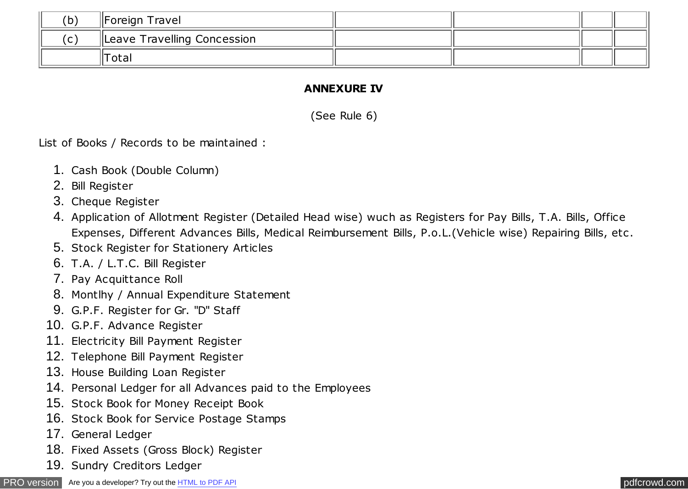| (b)         | Foreign Travel              |  |  |
|-------------|-----------------------------|--|--|
| $\sim$<br>ັ | Leave Travelling Concession |  |  |
|             | Total                       |  |  |

### **ANNEXURE IV**

(See Rule 6)

List of Books / Records to be maintained :

- 1. Cash Book (Double Column)
- 2. Bill Register
- 3. Cheque Register
- 4. Application of Allotment Register (Detailed Head wise) wuch as Registers for Pay Bills, T.A. Bills, Office Expenses, Different Advances Bills, Medical Reimbursement Bills, P.o.L.(Vehicle wise) Repairing Bills, etc .
- 5. Stock Register for Stationery Articles
- 6. T.A. / L.T.C. Bill Register
- 7. Pay Acquittance Roll
- 8. Montlhy / Annual Expenditure Statement
- 9. G.P.F. Register for Gr. "D" Staff
- 10. G.P.F. Advance Register
- 11. Electricity Bill Payment Register
- 12. Telephone Bill Payment Register
- 13. House Building Loan Register
- 14. Personal Ledger for all Advances paid to the Employees
- 15. Stock Book for Money Receipt Book
- 16. Stock Book for Service Postage Stamps
- 17. General Ledger
- 18. Fixed Assets (Gross Block) Register
- 19. Sundry Creditors Ledger